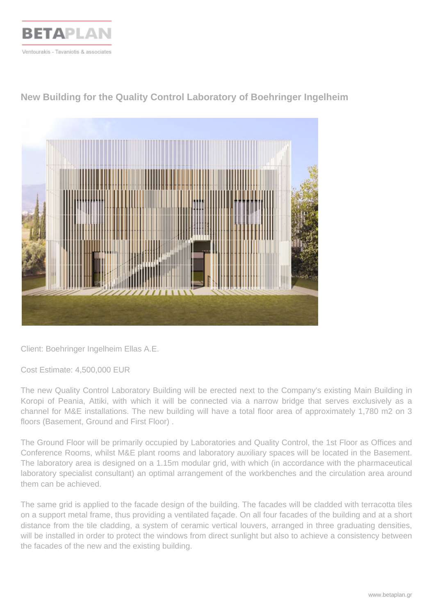

**New Building for the Quality Control Laboratory of Boehringer Ingelheim**



Client: Boehringer Ingelheim Ellas A.E.

Cost Estimate: 4,500,000 EUR

The new Quality Control Laboratory Building will be erected next to the Company's existing Main Building in Koropi of Peania, Attiki, with which it will be connected via a narrow bridge that serves exclusively as a channel for M&E installations. The new building will have a total floor area of approximately 1,780 m2 on 3 floors (Basement, Ground and First Floor) .

The Ground Floor will be primarily occupied by Laboratories and Quality Control, the 1st Floor as Offices and Conference Rooms, whilst M&E plant rooms and laboratory auxiliary spaces will be located in the Basement. The laboratory area is designed on a 1.15m modular grid, with which (in accordance with the pharmaceutical laboratory specialist consultant) an optimal arrangement of the workbenches and the circulation area around them can be achieved.

The same grid is applied to the facade design of the building. The facades will be cladded with terracotta tiles on a support metal frame, thus providing a ventilated façade. On all four facades of the building and at a short distance from the tile cladding, a system of ceramic vertical louvers, arranged in three graduating densities, will be installed in order to protect the windows from direct sunlight but also to achieve a consistency between the facades of the new and the existing building.